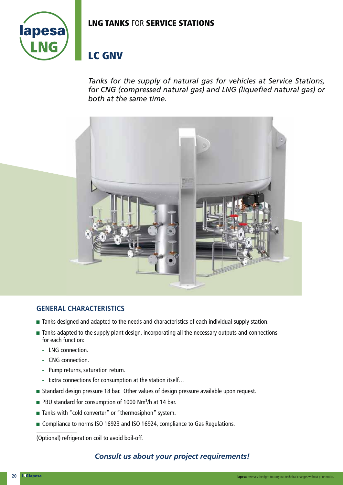## **LNG TANKS** FOR **SERVICE STATIONS**



# **LC GNV**

*Tanks for the supply of natural gas for vehicles at Service Stations, for CNG (compressed natural gas) and LNG (liquefied natural gas) or both at the same time.*



#### **GENERAL CHARACTERISTICS**

- Tanks designed and adapted to the needs and characteristics of each individual supply station.
- $\blacksquare$  Tanks adapted to the supply plant design, incorporating all the necessary outputs and connections for each function:
	- **-** LNG connection.
	- **-** CNG connection.
	- **-** Pump returns, saturation return.
	- **-** Extra connections for consumption at the station itself…
- **Standard design pressure 18 bar. Other values of design pressure available upon request.**
- PBU standard for consumption of 1000 Nm<sup>3</sup>/h at 14 bar.
- $\blacksquare$  Tanks with "cold converter" or "thermosiphon" system.
- Compliance to norms ISO 16923 and ISO 16924, compliance to Gas Regulations.

(Optional) refrigeration coil to avoid boil-off.

## *Consult us about your project requirements!*